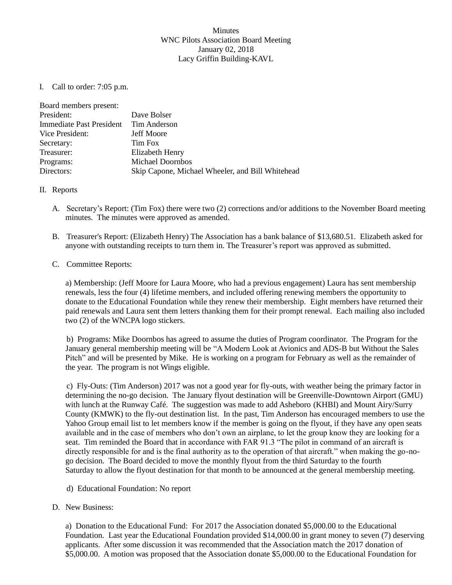## **Minutes** WNC Pilots Association Board Meeting January 02, 2018 Lacy Griffin Building-KAVL

I. Call to order: 7:05 p.m.

| Board members present:   |                                                  |
|--------------------------|--------------------------------------------------|
| President:               | Dave Bolser                                      |
| Immediate Past President | Tim Anderson                                     |
| Vice President:          | <b>Jeff Moore</b>                                |
| Secretary:               | Tim Fox                                          |
| Treasurer:               | Elizabeth Henry                                  |
| Programs:                | <b>Michael Doornbos</b>                          |
| Directors:               | Skip Capone, Michael Wheeler, and Bill Whitehead |

## II. Reports

- A. Secretary's Report: (Tim Fox) there were two (2) corrections and/or additions to the November Board meeting minutes. The minutes were approved as amended.
- B. Treasurer's Report: (Elizabeth Henry) The Association has a bank balance of \$13,680.51. Elizabeth asked for anyone with outstanding receipts to turn them in. The Treasurer's report was approved as submitted.

## C. Committee Reports:

a) Membership: (Jeff Moore for Laura Moore, who had a previous engagement) Laura has sent membership renewals, less the four (4) lifetime members, and included offering renewing members the opportunity to donate to the Educational Foundation while they renew their membership. Eight members have returned their paid renewals and Laura sent them letters thanking them for their prompt renewal. Each mailing also included two (2) of the WNCPA logo stickers.

b) Programs: Mike Doornbos has agreed to assume the duties of Program coordinator. The Program for the January general membership meeting will be "A Modern Look at Avionics and ADS-B but Without the Sales Pitch" and will be presented by Mike. He is working on a program for February as well as the remainder of the year. The program is not Wings eligible.

c) Fly-Outs: (Tim Anderson) 2017 was not a good year for fly-outs, with weather being the primary factor in determining the no-go decision. The January flyout destination will be Greenville-Downtown Airport (GMU) with lunch at the Runway Café. The suggestion was made to add Asheboro (KHBI) and Mount Airy/Surry County (KMWK) to the fly-out destination list. In the past, Tim Anderson has encouraged members to use the Yahoo Group email list to let members know if the member is going on the flyout, if they have any open seats available and in the case of members who don't own an airplane, to let the group know they are looking for a seat. Tim reminded the Board that in accordance with FAR 91.3 "The pilot in command of an aircraft is directly responsible for and is the final authority as to the operation of that aircraft." when making the go-nogo decision. The Board decided to move the monthly flyout from the third Saturday to the fourth Saturday to allow the flyout destination for that month to be announced at the general membership meeting.

- d) Educational Foundation: No report
- D. New Business:

a) Donation to the Educational Fund: For 2017 the Association donated \$5,000.00 to the Educational Foundation. Last year the Educational Foundation provided \$14,000.00 in grant money to seven (7) deserving applicants. After some discussion it was recommended that the Association match the 2017 donation of \$5,000.00. A motion was proposed that the Association donate \$5,000.00 to the Educational Foundation for